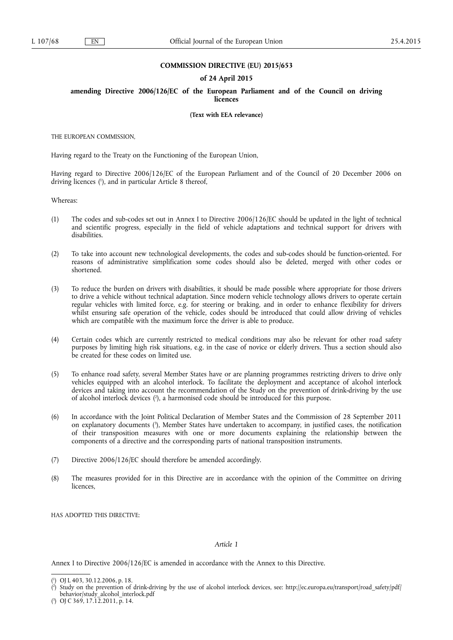### **COMMISSION DIRECTIVE (EU) 2015/653**

### **of 24 April 2015**

**amending Directive 2006/126/EC of the European Parliament and of the Council on driving licences** 

**(Text with EEA relevance)** 

THE EUROPEAN COMMISSION,

Having regard to the Treaty on the Functioning of the European Union,

Having regard to Directive 2006/126/EC of the European Parliament and of the Council of 20 December 2006 on driving licences ( 1 ), and in particular Article 8 thereof,

Whereas:

- (1) The codes and sub-codes set out in Annex I to Directive 2006/126/EC should be updated in the light of technical and scientific progress, especially in the field of vehicle adaptations and technical support for drivers with disabilities.
- (2) To take into account new technological developments, the codes and sub-codes should be function-oriented. For reasons of administrative simplification some codes should also be deleted, merged with other codes or shortened.
- (3) To reduce the burden on drivers with disabilities, it should be made possible where appropriate for those drivers to drive a vehicle without technical adaptation. Since modern vehicle technology allows drivers to operate certain regular vehicles with limited force, e.g. for steering or braking, and in order to enhance flexibility for drivers whilst ensuring safe operation of the vehicle, codes should be introduced that could allow driving of vehicles which are compatible with the maximum force the driver is able to produce.
- (4) Certain codes which are currently restricted to medical conditions may also be relevant for other road safety purposes by limiting high risk situations, e.g. in the case of novice or elderly drivers. Thus a section should also be created for these codes on limited use.
- (5) To enhance road safety, several Member States have or are planning programmes restricting drivers to drive only vehicles equipped with an alcohol interlock. To facilitate the deployment and acceptance of alcohol interlock devices and taking into account the recommendation of the Study on the prevention of drink-driving by the use of alcohol interlock devices ( 2 ), a harmonised code should be introduced for this purpose.
- (6) In accordance with the Joint Political Declaration of Member States and the Commission of 28 September 2011 on explanatory documents ( 3 ), Member States have undertaken to accompany, in justified cases, the notification of their transposition measures with one or more documents explaining the relationship between the components of a directive and the corresponding parts of national transposition instruments.
- (7) Directive 2006/126/EC should therefore be amended accordingly.
- (8) The measures provided for in this Directive are in accordance with the opinion of the Committee on driving licences,

HAS ADOPTED THIS DIRECTIVE:

## *Article 1*

Annex I to Directive 2006/126/EC is amended in accordance with the Annex to this Directive.

<sup>(</sup> 1 ) OJ L 403, 30.12.2006, p. 18.

<sup>(</sup> 2 ) Study on the prevention of drink-driving by the use of alcohol interlock devices, see: [http://ec.europa.eu/transport/road\\_safety/pdf/](http://ec.europa.eu/transport/road_safety/pdf/behavior/study_alcohol_interlock.pdf)  [behavior/study\\_alcohol\\_interlock.pdf](http://ec.europa.eu/transport/road_safety/pdf/behavior/study_alcohol_interlock.pdf)

<sup>(</sup> 3 ) OJ C 369, 17.12.2011, p. 14.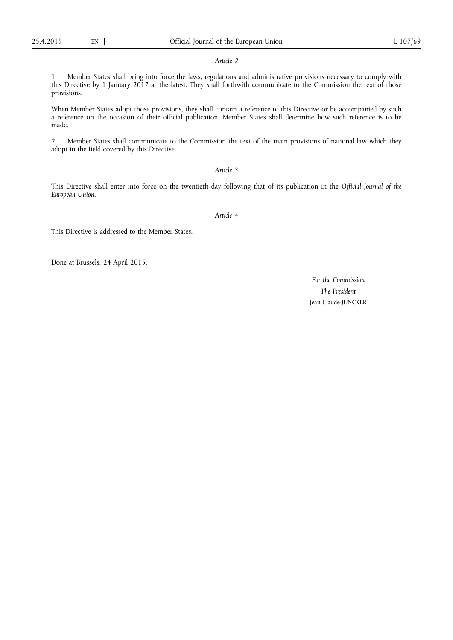#### *Article 2*

1. Member States shall bring into force the laws, regulations and administrative provisions necessary to comply with this Directive by 1 January 2017 at the latest. They shall forthwith communicate to the Commission the text of those provisions.

When Member States adopt those provisions, they shall contain a reference to this Directive or be accompanied by such a reference on the occasion of their official publication. Member States shall determine how such reference is to be made.

2. Member States shall communicate to the Commission the text of the main provisions of national law which they adopt in the field covered by this Directive.

## *Article 3*

This Directive shall enter into force on the twentieth day following that of its publication in the *Official Journal of the European Union*.

*Article 4* 

This Directive is addressed to the Member States.

Done at Brussels, 24 April 2015.

*For the Commission The President*  Jean-Claude JUNCKER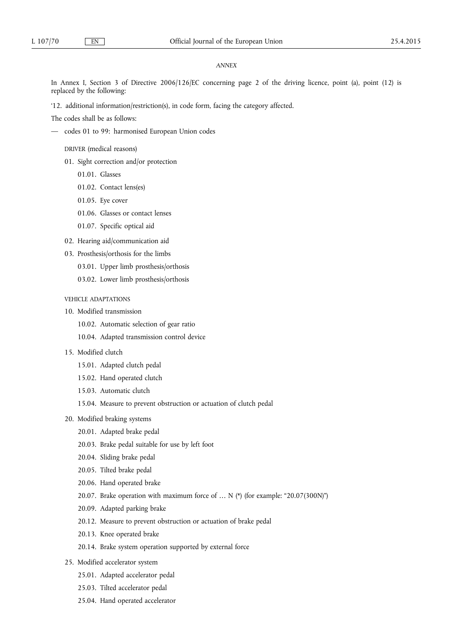### *ANNEX*

In Annex I, Section 3 of Directive 2006/126/EC concerning page 2 of the driving licence, point (a), point (12) is replaced by the following:

'12. additional information/restriction(s), in code form, facing the category affected.

The codes shall be as follows:

— codes 01 to 99: harmonised European Union codes

DRIVER (medical reasons)

- 01. Sight correction and/or protection
	- 01.01. Glasses
	- 01.02. Contact lens(es)
	- 01.05. Eye cover
	- 01.06. Glasses or contact lenses
	- 01.07. Specific optical aid
- 02. Hearing aid/communication aid
- 03. Prosthesis/orthosis for the limbs
	- 03.01. Upper limb prosthesis/orthosis
	- 03.02. Lower limb prosthesis/orthosis

# VEHICLE ADAPTATIONS

- 10. Modified transmission
	- 10.02. Automatic selection of gear ratio
	- 10.04. Adapted transmission control device
- 15. Modified clutch
	- 15.01. Adapted clutch pedal
	- 15.02. Hand operated clutch
	- 15.03. Automatic clutch
	- 15.04. Measure to prevent obstruction or actuation of clutch pedal
- 20. Modified braking systems
	- 20.01. Adapted brake pedal
	- 20.03. Brake pedal suitable for use by left foot
	- 20.04. Sliding brake pedal
	- 20.05. Tilted brake pedal
	- 20.06. Hand operated brake
	- 20.07. Brake operation with maximum force of … N (\*) (for example: "20.07(300N)")
	- 20.09. Adapted parking brake
	- 20.12. Measure to prevent obstruction or actuation of brake pedal
	- 20.13. Knee operated brake
	- 20.14. Brake system operation supported by external force
- 25. Modified accelerator system
	- 25.01. Adapted accelerator pedal
	- 25.03. Tilted accelerator pedal
	- 25.04. Hand operated accelerator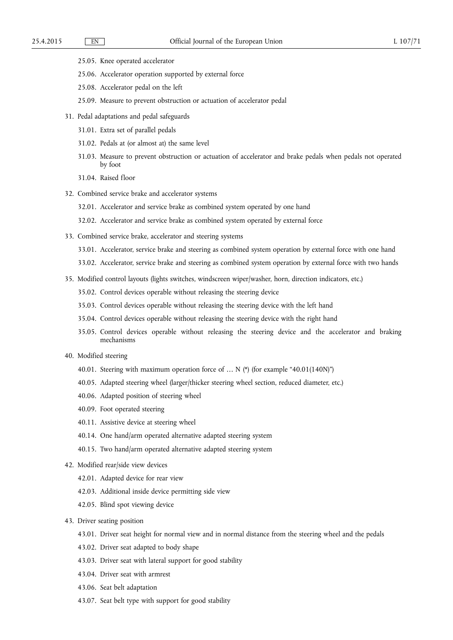- 25.05. Knee operated accelerator
- 25.06. Accelerator operation supported by external force
- 25.08. Accelerator pedal on the left
- 25.09. Measure to prevent obstruction or actuation of accelerator pedal
- 31. Pedal adaptations and pedal safeguards
	- 31.01. Extra set of parallel pedals
	- 31.02. Pedals at (or almost at) the same level
	- 31.03. Measure to prevent obstruction or actuation of accelerator and brake pedals when pedals not operated by foot
	- 31.04. Raised floor
- 32. Combined service brake and accelerator systems
	- 32.01. Accelerator and service brake as combined system operated by one hand
	- 32.02. Accelerator and service brake as combined system operated by external force
- 33. Combined service brake, accelerator and steering systems
	- 33.01. Accelerator, service brake and steering as combined system operation by external force with one hand
	- 33.02. Accelerator, service brake and steering as combined system operation by external force with two hands
- 35. Modified control layouts (lights switches, windscreen wiper/washer, horn, direction indicators, etc.)
	- 35.02. Control devices operable without releasing the steering device
	- 35.03. Control devices operable without releasing the steering device with the left hand
	- 35.04. Control devices operable without releasing the steering device with the right hand
	- 35.05. Control devices operable without releasing the steering device and the accelerator and braking mechanisms
- 40. Modified steering
	- 40.01. Steering with maximum operation force of … N (\*) (for example "40.01(140N)")
	- 40.05. Adapted steering wheel (larger/thicker steering wheel section, reduced diameter, etc.)
	- 40.06. Adapted position of steering wheel
	- 40.09. Foot operated steering
	- 40.11. Assistive device at steering wheel
	- 40.14. One hand/arm operated alternative adapted steering system
	- 40.15. Two hand/arm operated alternative adapted steering system
- 42. Modified rear/side view devices
	- 42.01. Adapted device for rear view
	- 42.03. Additional inside device permitting side view
	- 42.05. Blind spot viewing device
- 43. Driver seating position
	- 43.01. Driver seat height for normal view and in normal distance from the steering wheel and the pedals
	- 43.02. Driver seat adapted to body shape
	- 43.03. Driver seat with lateral support for good stability
	- 43.04. Driver seat with armrest
	- 43.06. Seat belt adaptation
	- 43.07. Seat belt type with support for good stability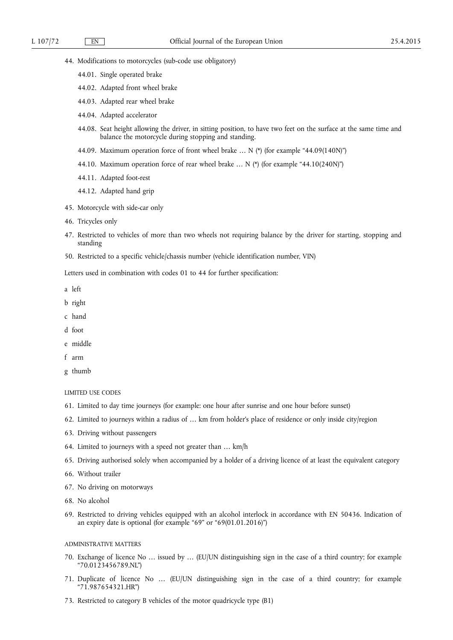- 44. Modifications to motorcycles (sub-code use obligatory)
	- 44.01. Single operated brake
	- 44.02. Adapted front wheel brake
	- 44.03. Adapted rear wheel brake
	- 44.04. Adapted accelerator
	- 44.08. Seat height allowing the driver, in sitting position, to have two feet on the surface at the same time and balance the motorcycle during stopping and standing.
	- 44.09. Maximum operation force of front wheel brake … N (\*) (for example "44.09(140N)")
	- 44.10. Maximum operation force of rear wheel brake  $\ldots$  N (\*) (for example "44.10(240N)")
	- 44.11. Adapted foot-rest
	- 44.12. Adapted hand grip
- 45. Motorcycle with side-car only
- 46. Tricycles only
- 47. Restricted to vehicles of more than two wheels not requiring balance by the driver for starting, stopping and standing
- 50. Restricted to a specific vehicle/chassis number (vehicle identification number, VIN)

Letters used in combination with codes 01 to 44 for further specification:

- a left
- b right
- c hand
- d foot
- e middle
- f arm
- g thumb

#### LIMITED USE CODES

- 61. Limited to day time journeys (for example: one hour after sunrise and one hour before sunset)
- 62. Limited to journeys within a radius of … km from holder's place of residence or only inside city/region
- 63. Driving without passengers
- 64. Limited to journeys with a speed not greater than … km/h
- 65. Driving authorised solely when accompanied by a holder of a driving licence of at least the equivalent category
- 66. Without trailer
- 67. No driving on motorways
- 68. No alcohol
- 69. Restricted to driving vehicles equipped with an alcohol interlock in accordance with EN 50436. Indication of an expiry date is optional (for example "69" or "69(01.01.2016)")

### ADMINISTRATIVE MATTERS

- 70. Exchange of licence No … issued by … (EU/UN distinguishing sign in the case of a third country; for example "70.0123456789.NL")
- 71. Duplicate of licence No … (EU/UN distinguishing sign in the case of a third country; for example "71.987654321.HR")
- 73. Restricted to category B vehicles of the motor quadricycle type (B1)